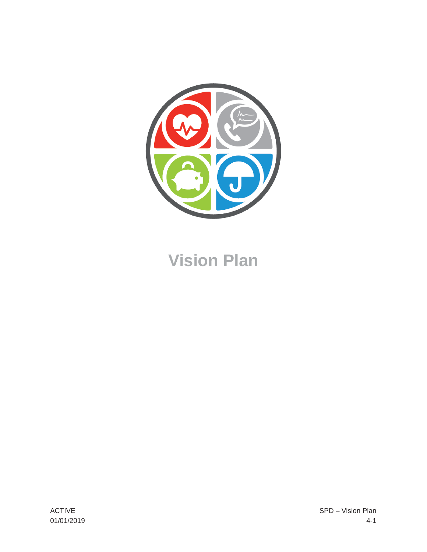

# **Vision Plan**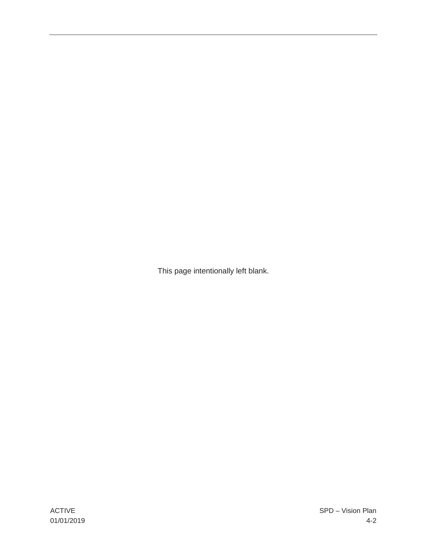This page intentionally left blank.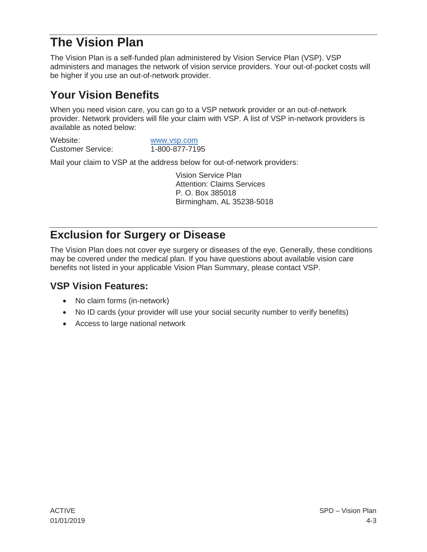## **The Vision Plan**

The Vision Plan is a self-funded plan administered by Vision Service Plan (VSP). VSP administers and manages the network of vision service providers. Your out-of-pocket costs will be higher if you use an out-of-network provider.

### **Your Vision Benefits**

When you need vision care, you can go to a VSP network provider or an out-of-network provider. Network providers will file your claim with VSP. A list of VSP in-network providers is available as noted below:

Website: www.vsp.com Customer Service: 1-800-877-7195

Mail your claim to VSP at the address below for out-of-network providers:

Vision Service Plan Attention: Claims Services P. O. Box 385018 Birmingham, AL 35238-5018

#### **Exclusion for Surgery or Disease**

The Vision Plan does not cover eye surgery or diseases of the eye. Generally, these conditions may be covered under the medical plan. If you have questions about available vision care benefits not listed in your applicable Vision Plan Summary, please contact VSP.

#### **VSP Vision Features:**

- No claim forms (in-network)
- No ID cards (your provider will use your social security number to verify benefits)
- Access to large national network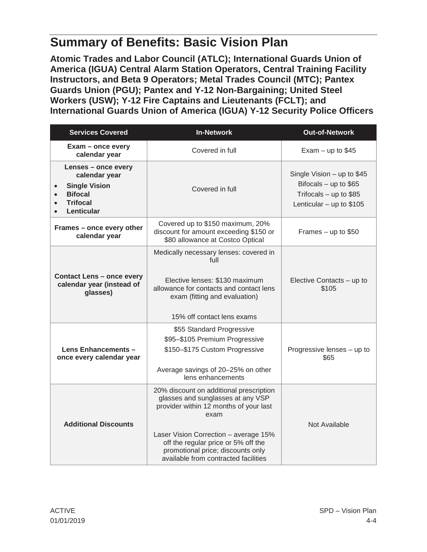## **Summary of Benefits: Basic Vision Plan**

**Atomic Trades and Labor Council (ATLC); International Guards Union of America (IGUA) Central Alarm Station Operators, Central Training Facility Instructors, and Beta 9 Operators; Metal Trades Council (MTC); Pantex Guards Union (PGU); Pantex and Y-12 Non-Bargaining; United Steel Workers (USW); Y-12 Fire Captains and Lieutenants (FCLT); and International Guards Union of America (IGUA) Y-12 Security Police Officers**

| <b>Services Covered</b>                                                                                         | <b>In-Network</b>                                                                                                                                                                                                                                                                           | <b>Out-of-Network</b>                                                                                            |
|-----------------------------------------------------------------------------------------------------------------|---------------------------------------------------------------------------------------------------------------------------------------------------------------------------------------------------------------------------------------------------------------------------------------------|------------------------------------------------------------------------------------------------------------------|
| Exam - once every<br>calendar year                                                                              | Covered in full                                                                                                                                                                                                                                                                             | Exam $-$ up to \$45                                                                                              |
| Lenses - once every<br>calendar year<br><b>Single Vision</b><br><b>Bifocal</b><br><b>Trifocal</b><br>Lenticular | Covered in full                                                                                                                                                                                                                                                                             | Single Vision $-$ up to \$45<br>Bifocals $-$ up to \$65<br>Trifocals $-$ up to \$85<br>Lenticular – up to $$105$ |
| Frames - once every other<br>calendar year                                                                      | Covered up to \$150 maximum, 20%<br>discount for amount exceeding \$150 or<br>\$80 allowance at Costco Optical                                                                                                                                                                              | Frames $-$ up to \$50                                                                                            |
| <b>Contact Lens - once every</b><br>calendar year (instead of<br>glasses)                                       | Medically necessary lenses: covered in<br>full<br>Elective lenses: \$130 maximum<br>allowance for contacts and contact lens<br>exam (fitting and evaluation)<br>15% off contact lens exams                                                                                                  | Elective Contacts - up to<br>\$105                                                                               |
| Lens Enhancements-<br>once every calendar year                                                                  | \$55 Standard Progressive<br>\$95-\$105 Premium Progressive<br>\$150-\$175 Custom Progressive<br>Average savings of 20-25% on other<br>lens enhancements                                                                                                                                    | Progressive lenses - up to<br>\$65                                                                               |
| <b>Additional Discounts</b>                                                                                     | 20% discount on additional prescription<br>glasses and sunglasses at any VSP<br>provider within 12 months of your last<br>exam<br>Laser Vision Correction - average 15%<br>off the regular price or 5% off the<br>promotional price; discounts only<br>available from contracted facilities | Not Available                                                                                                    |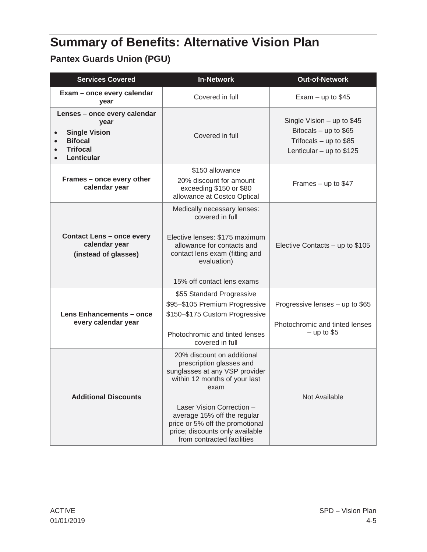## **Summary of Benefits: Alternative Vision Plan**

**Pantex Guards Union (PGU)**

| <b>Services Covered</b>                                                                                                | <b>In-Network</b>                                                                                                                                                                                                                                                                                 | <b>Out-of-Network</b>                                                                                            |
|------------------------------------------------------------------------------------------------------------------------|---------------------------------------------------------------------------------------------------------------------------------------------------------------------------------------------------------------------------------------------------------------------------------------------------|------------------------------------------------------------------------------------------------------------------|
| Exam - once every calendar<br>year                                                                                     | Covered in full                                                                                                                                                                                                                                                                                   | Exam $-$ up to \$45                                                                                              |
| Lenses - once every calendar<br>vear<br><b>Single Vision</b><br><b>Bifocal</b><br><b>Trifocal</b><br><b>Lenticular</b> | Covered in full                                                                                                                                                                                                                                                                                   | Single Vision $-$ up to \$45<br>Bifocals $-$ up to \$65<br>Trifocals $-$ up to \$85<br>Lenticular – up to $$125$ |
| Frames - once every other<br>calendar year                                                                             | \$150 allowance<br>20% discount for amount<br>exceeding \$150 or \$80<br>allowance at Costco Optical                                                                                                                                                                                              | Frames $-$ up to \$47                                                                                            |
| <b>Contact Lens - once every</b><br>calendar year<br>(instead of glasses)                                              | Medically necessary lenses:<br>covered in full<br>Elective lenses: \$175 maximum<br>allowance for contacts and<br>contact lens exam (fitting and<br>evaluation)<br>15% off contact lens exams                                                                                                     | Elective Contacts – up to $$105$                                                                                 |
| Lens Enhancements - once<br>every calendar year                                                                        | \$55 Standard Progressive<br>\$95-\$105 Premium Progressive<br>\$150-\$175 Custom Progressive<br>Photochromic and tinted lenses<br>covered in full                                                                                                                                                | Progressive lenses - up to \$65<br>Photochromic and tinted lenses<br>$-$ up to \$5                               |
| <b>Additional Discounts</b>                                                                                            | 20% discount on additional<br>prescription glasses and<br>sunglasses at any VSP provider<br>within 12 months of your last<br>exam<br>Laser Vision Correction -<br>average 15% off the regular<br>price or 5% off the promotional<br>price; discounts only available<br>from contracted facilities | Not Available                                                                                                    |